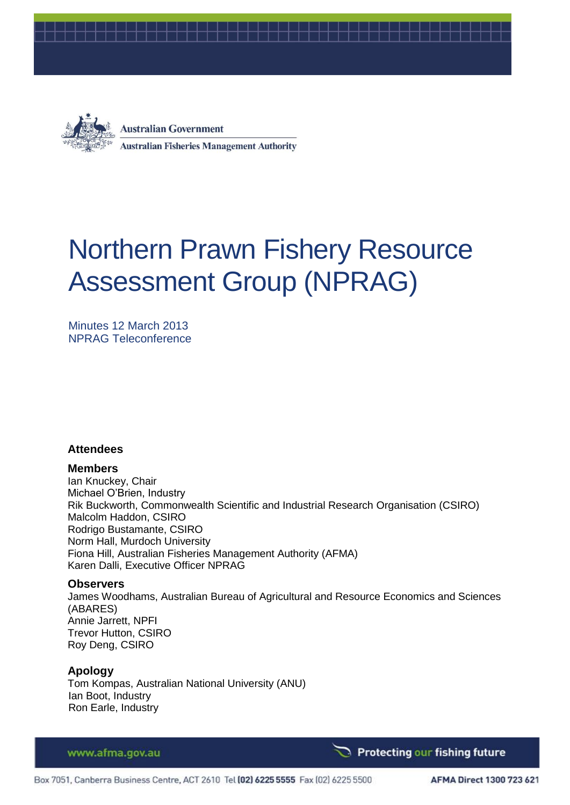



**Australian Government Australian Fisheries Management Authority** 

# Northern Prawn Fishery Resource Assessment Group (NPRAG)

Minutes 12 March 2013 NPRAG Teleconference

#### **Attendees**

#### **Members**

Ian Knuckey, Chair Michael O'Brien, Industry Rik Buckworth, Commonwealth Scientific and Industrial Research Organisation (CSIRO) Malcolm Haddon, CSIRO Rodrigo Bustamante, CSIRO Norm Hall, Murdoch University Fiona Hill, Australian Fisheries Management Authority (AFMA) Karen Dalli, Executive Officer NPRAG

#### **Observers**

James Woodhams, Australian Bureau of Agricultural and Resource Economics and Sciences (ABARES) Annie Jarrett, NPFI Trevor Hutton, CSIRO Roy Deng, CSIRO

#### **Apology**

Tom Kompas, Australian National University (ANU) Ian Boot, Industry Ron Earle, Industry

#### www.afma.gov.au

Protecting our fishing future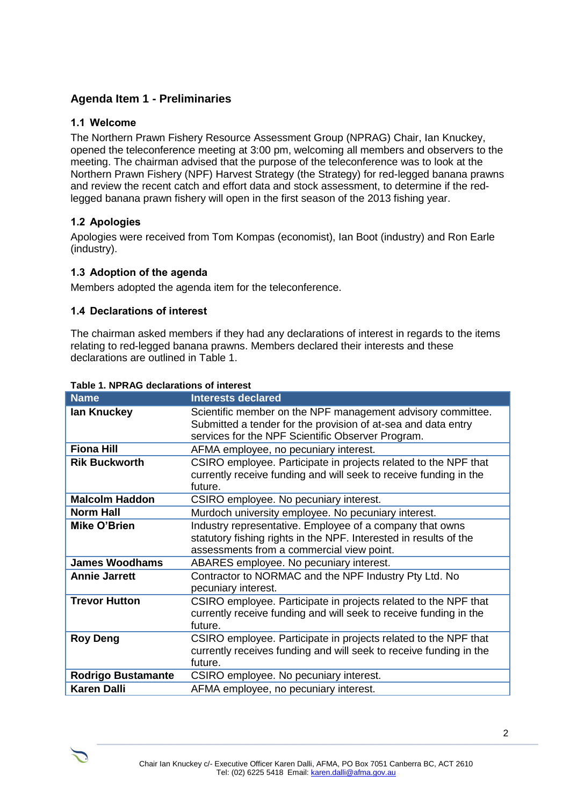# **Agenda Item 1 - Preliminaries**

#### **1.1 Welcome**

The Northern Prawn Fishery Resource Assessment Group (NPRAG) Chair, Ian Knuckey, opened the teleconference meeting at 3:00 pm, welcoming all members and observers to the meeting. The chairman advised that the purpose of the teleconference was to look at the Northern Prawn Fishery (NPF) Harvest Strategy (the Strategy) for red-legged banana prawns and review the recent catch and effort data and stock assessment, to determine if the redlegged banana prawn fishery will open in the first season of the 2013 fishing year.

#### **1.2 Apologies**

Apologies were received from Tom Kompas (economist), Ian Boot (industry) and Ron Earle (industry).

#### **1.3 Adoption of the agenda**

Members adopted the agenda item for the teleconference.

#### **1.4 Declarations of interest**

The chairman asked members if they had any declarations of interest in regards to the items relating to red-legged banana prawns. Members declared their interests and these declarations are outlined in Table 1.

| <b>Name</b>               | <b>Interests declared</b>                                                                                                                                                         |
|---------------------------|-----------------------------------------------------------------------------------------------------------------------------------------------------------------------------------|
| lan Knuckey               | Scientific member on the NPF management advisory committee.<br>Submitted a tender for the provision of at-sea and data entry<br>services for the NPF Scientific Observer Program. |
| <b>Fiona Hill</b>         | AFMA employee, no pecuniary interest.                                                                                                                                             |
| <b>Rik Buckworth</b>      | CSIRO employee. Participate in projects related to the NPF that<br>currently receive funding and will seek to receive funding in the<br>future.                                   |
| <b>Malcolm Haddon</b>     | CSIRO employee. No pecuniary interest.                                                                                                                                            |
| <b>Norm Hall</b>          | Murdoch university employee. No pecuniary interest.                                                                                                                               |
| Mike O'Brien              | Industry representative. Employee of a company that owns<br>statutory fishing rights in the NPF. Interested in results of the<br>assessments from a commercial view point.        |
| <b>James Woodhams</b>     | ABARES employee. No pecuniary interest.                                                                                                                                           |
| <b>Annie Jarrett</b>      | Contractor to NORMAC and the NPF Industry Pty Ltd. No<br>pecuniary interest.                                                                                                      |
| <b>Trevor Hutton</b>      | CSIRO employee. Participate in projects related to the NPF that<br>currently receive funding and will seek to receive funding in the<br>future.                                   |
| <b>Roy Deng</b>           | CSIRO employee. Participate in projects related to the NPF that<br>currently receives funding and will seek to receive funding in the<br>future.                                  |
| <b>Rodrigo Bustamante</b> | CSIRO employee. No pecuniary interest.                                                                                                                                            |
| <b>Karen Dalli</b>        | AFMA employee, no pecuniary interest.                                                                                                                                             |

#### **Table 1. NPRAG declarations of interest**

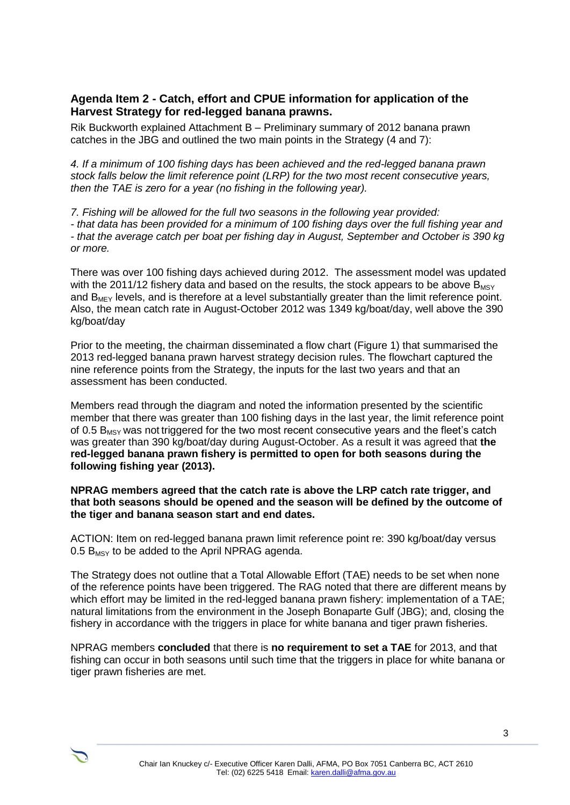## **Agenda Item 2 - Catch, effort and CPUE information for application of the Harvest Strategy for red-legged banana prawns.**

Rik Buckworth explained Attachment B – Preliminary summary of 2012 banana prawn catches in the JBG and outlined the two main points in the Strategy (4 and 7):

*4. If a minimum of 100 fishing days has been achieved and the red-legged banana prawn stock falls below the limit reference point (LRP) for the two most recent consecutive years, then the TAE is zero for a year (no fishing in the following year).*

*7. Fishing will be allowed for the full two seasons in the following year provided: - that data has been provided for a minimum of 100 fishing days over the full fishing year and - that the average catch per boat per fishing day in August, September and October is 390 kg or more.* 

There was over 100 fishing days achieved during 2012. The assessment model was updated with the 2011/12 fishery data and based on the results, the stock appears to be above  $B_{MSY}$ and  $B_{MFY}$  levels, and is therefore at a level substantially greater than the limit reference point. Also, the mean catch rate in August-October 2012 was 1349 kg/boat/day, well above the 390 kg/boat/day

Prior to the meeting, the chairman disseminated a flow chart (Figure 1) that summarised the 2013 red-legged banana prawn harvest strategy decision rules. The flowchart captured the nine reference points from the Strategy, the inputs for the last two years and that an assessment has been conducted.

Members read through the diagram and noted the information presented by the scientific member that there was greater than 100 fishing days in the last year, the limit reference point of 0.5  $B_{MSV}$  was not triggered for the two most recent consecutive years and the fleet's catch was greater than 390 kg/boat/day during August-October. As a result it was agreed that **the red-legged banana prawn fishery is permitted to open for both seasons during the following fishing year (2013).** 

#### **NPRAG members agreed that the catch rate is above the LRP catch rate trigger, and that both seasons should be opened and the season will be defined by the outcome of the tiger and banana season start and end dates.**

ACTION: Item on red-legged banana prawn limit reference point re: 390 kg/boat/day versus 0.5  $B_{MSY}$  to be added to the April NPRAG agenda.

The Strategy does not outline that a Total Allowable Effort (TAE) needs to be set when none of the reference points have been triggered. The RAG noted that there are different means by which effort may be limited in the red-legged banana prawn fishery: implementation of a TAE; natural limitations from the environment in the Joseph Bonaparte Gulf (JBG); and, closing the fishery in accordance with the triggers in place for white banana and tiger prawn fisheries.

NPRAG members **concluded** that there is **no requirement to set a TAE** for 2013, and that fishing can occur in both seasons until such time that the triggers in place for white banana or tiger prawn fisheries are met.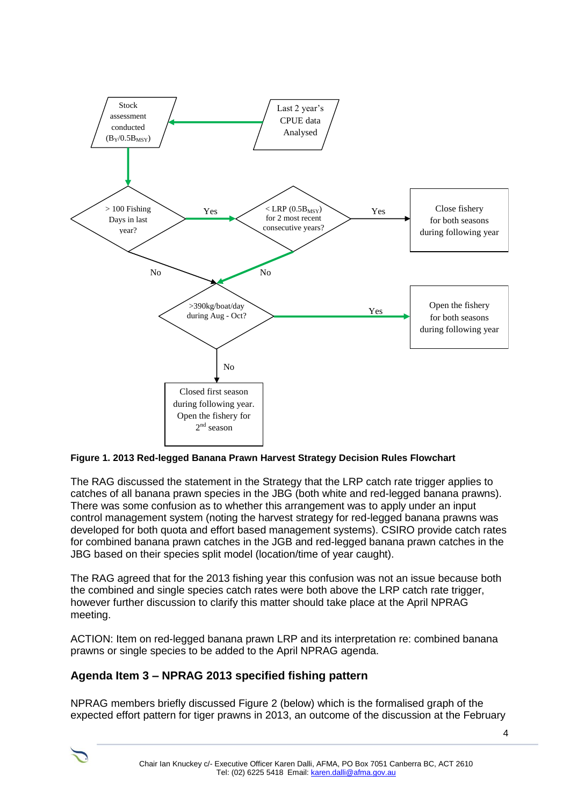

**Figure 1. 2013 Red-legged Banana Prawn Harvest Strategy Decision Rules Flowchart**

The RAG discussed the statement in the Strategy that the LRP catch rate trigger applies to catches of all banana prawn species in the JBG (both white and red-legged banana prawns). There was some confusion as to whether this arrangement was to apply under an input control management system (noting the harvest strategy for red-legged banana prawns was developed for both quota and effort based management systems). CSIRO provide catch rates for combined banana prawn catches in the JGB and red-legged banana prawn catches in the JBG based on their species split model (location/time of year caught).

The RAG agreed that for the 2013 fishing year this confusion was not an issue because both the combined and single species catch rates were both above the LRP catch rate trigger, however further discussion to clarify this matter should take place at the April NPRAG meeting.

ACTION: Item on red-legged banana prawn LRP and its interpretation re: combined banana prawns or single species to be added to the April NPRAG agenda.

# **Agenda Item 3 – NPRAG 2013 specified fishing pattern**

NPRAG members briefly discussed Figure 2 (below) which is the formalised graph of the expected effort pattern for tiger prawns in 2013, an outcome of the discussion at the February